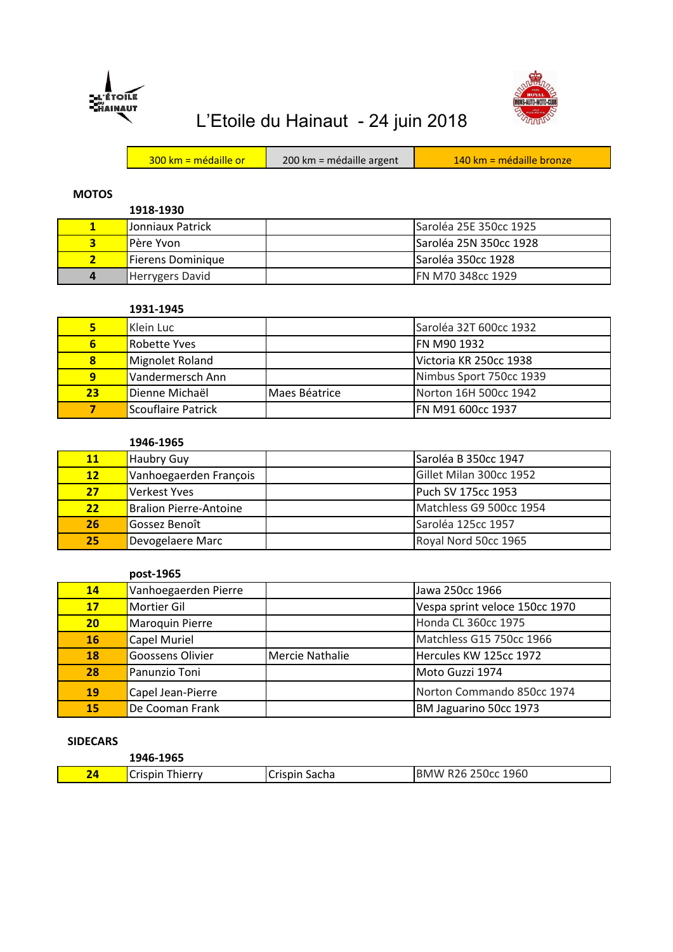



# L'Etoile du Hainaut - 24 juin 2018

| 200 km = médaille argent<br>$300 \text{ km}$ = médaille or | $140 \text{ km}$ = médaille bronze |
|------------------------------------------------------------|------------------------------------|
|------------------------------------------------------------|------------------------------------|

## **MOTOS**

**1918-1930** 1 Jonniaux Patrick **Saroléa 25E 350cc 1925**  Père Yvon Saroléa 25N 350cc 1928 Fierens Dominique Saroléa 350cc 1928 Herrygers David **FN M70 348cc 1929** 

#### **1931-1945**

| 5                       | Klein Luc          |               | Saroléa 32T 600cc 1932  |
|-------------------------|--------------------|---------------|-------------------------|
| 6                       | Robette Yves       |               | IFN M90 1932            |
| $\overline{\mathbf{8}}$ | Mignolet Roland    |               | lVictoria KR 250cc 1938 |
| $\overline{9}$          | Vandermersch Ann   |               | Nimbus Sport 750cc 1939 |
| 23                      | Dienne Michaël     | Maes Béatrice | Norton 16H 500cc 1942   |
|                         | Scouflaire Patrick |               | FN M91 600cc 1937       |

## **1946-1965**

| <b>11</b> | Haubry Guy                    | Saroléa B 350cc 1947    |
|-----------|-------------------------------|-------------------------|
| 12        | Vanhoegaerden François        | Gillet Milan 300cc 1952 |
| 27        | <b>Verkest Yves</b>           | Puch SV 175cc 1953      |
| 22        | <b>Bralion Pierre-Antoine</b> | Matchless G9 500cc 1954 |
| <b>26</b> | Gossez Benoît                 | Saroléa 125cc 1957      |
| 25        | Devogelaere Marc              | Royal Nord 50cc 1965    |

#### **post-1965**

| 14              | Vanhoegaerden Pierre |                 | Jawa 250cc 1966                |
|-----------------|----------------------|-----------------|--------------------------------|
| 17              | Mortier Gil          |                 | Vespa sprint veloce 150cc 1970 |
| 20 <sub>2</sub> | Maroquin Pierre      |                 | Honda CL 360cc 1975            |
| <b>16</b>       | <b>Capel Muriel</b>  |                 | Matchless G15 750cc 1966       |
| 18              | Goossens Olivier     | Mercie Nathalie | Hercules KW 125cc 1972         |
| 28              | Panunzio Toni        |                 | Moto Guzzi 1974                |
| 19              | Capel Jean-Pierre    |                 | Norton Commando 850cc 1974     |
| 15              | De Cooman Frank      |                 | BM Jaguarino 50cc 1973         |

## **SIDECARS**

|    | 1946-1965                    |                       |                               |
|----|------------------------------|-----------------------|-------------------------------|
| 24 | $\sim$<br>Crispin<br>Thierry | ∽<br>Sacha<br>Crispin | R26 250cc 1960<br><b>IBMW</b> |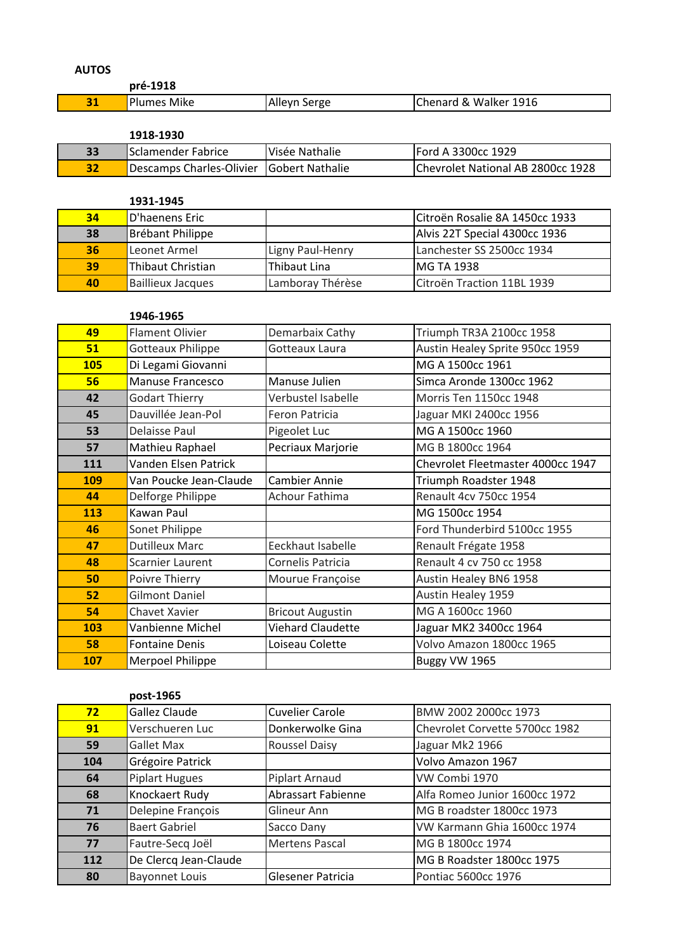| ۹ | ×<br>۰.<br>۰, |
|---|---------------|
|---|---------------|

| .  | pré-1918           |              |                       |
|----|--------------------|--------------|-----------------------|
| 31 | <b>Plumes Mike</b> | Alleyn Serge | Chenard & Walker 1916 |

### **1918-1930**

| 33 | lSclamender Fabrice                      | IVisée Nathalie | <b>IFord A 3300cc 1929</b>        |
|----|------------------------------------------|-----------------|-----------------------------------|
| 32 | Descamps Charles-Olivier Gobert Nathalie |                 | Chevrolet National AB 2800cc 1928 |

|    | 1931-1945                |                  |                                |
|----|--------------------------|------------------|--------------------------------|
| 34 | D'haenens Eric           |                  | Citroën Rosalie 8A 1450cc 1933 |
| 38 | Brébant Philippe         |                  | Alvis 22T Special 4300cc 1936  |
| 36 | Leonet Armel             | Ligny Paul-Henry | Lanchester SS 2500cc 1934      |
| 39 | Thibaut Christian        | Thibaut Lina     | <b>IMG TA 1938</b>             |
| 40 | <b>Baillieux Jacques</b> | Lamboray Thérèse | Citroën Traction 11BL 1939     |

## **1946-1965**

| 49         | <b>Flament Olivier</b>   | Demarbaix Cathy          | Triumph TR3A 2100cc 1958          |
|------------|--------------------------|--------------------------|-----------------------------------|
| 51         | <b>Gotteaux Philippe</b> | Gotteaux Laura           | Austin Healey Sprite 950cc 1959   |
| <b>105</b> | Di Legami Giovanni       |                          | MG A 1500cc 1961                  |
| 56         | <b>Manuse Francesco</b>  | Manuse Julien            | Simca Aronde 1300cc 1962          |
| 42         | <b>Godart Thierry</b>    | Verbustel Isabelle       | <b>Morris Ten 1150cc 1948</b>     |
| 45         | Dauvillée Jean-Pol       | Feron Patricia           | Jaguar MKI 2400cc 1956            |
| 53         | Delaisse Paul            | Pigeolet Luc             | MG A 1500cc 1960                  |
| 57         | Mathieu Raphael          | Pecriaux Marjorie        | MG B 1800cc 1964                  |
| 111        | Vanden Elsen Patrick     |                          | Chevrolet Fleetmaster 4000cc 1947 |
| 109        | Van Poucke Jean-Claude   | <b>Cambier Annie</b>     | Triumph Roadster 1948             |
| 44         | Delforge Philippe        | Achour Fathima           | Renault 4cv 750cc 1954            |
| 113        | Kawan Paul               |                          | MG 1500cc 1954                    |
| 46         | Sonet Philippe           |                          | Ford Thunderbird 5100cc 1955      |
| 47         | <b>Dutilleux Marc</b>    | Eeckhaut Isabelle        | Renault Frégate 1958              |
| 48         | <b>Scarnier Laurent</b>  | Cornelis Patricia        | Renault 4 cv 750 cc 1958          |
| 50         | Poivre Thierry           | Mourue Françoise         | Austin Healey BN6 1958            |
| 52         | <b>Gilmont Daniel</b>    |                          | <b>Austin Healey 1959</b>         |
| 54         | Chavet Xavier            | <b>Bricout Augustin</b>  | MG A 1600cc 1960                  |
| 103        | Vanbienne Michel         | <b>Viehard Claudette</b> | Jaguar MK2 3400cc 1964            |
| 58         | <b>Fontaine Denis</b>    | Loiseau Colette          | Volvo Amazon 1800cc 1965          |
| 107        | Merpoel Philippe         |                          | Buggy VW 1965                     |

|     | post-1965             |                        |                                |
|-----|-----------------------|------------------------|--------------------------------|
| 72  | Gallez Claude         | <b>Cuvelier Carole</b> | BMW 2002 2000cc 1973           |
| 91  | Verschueren Luc       | Donkerwolke Gina       | Chevrolet Corvette 5700cc 1982 |
| 59  | <b>Gallet Max</b>     | <b>Roussel Daisy</b>   | Jaguar Mk2 1966                |
| 104 | Grégoire Patrick      |                        | Volvo Amazon 1967              |
| 64  | <b>Piplart Hugues</b> | Piplart Arnaud         | VW Combi 1970                  |
| 68  | Knockaert Rudy        | Abrassart Fabienne     | Alfa Romeo Junior 1600cc 1972  |
| 71  | Delepine François     | Glineur Ann            | MG B roadster 1800cc 1973      |
| 76  | <b>Baert Gabriel</b>  | Sacco Dany             | VW Karmann Ghia 1600cc 1974    |
| 77  | Fautre-Secq Joël      | <b>Mertens Pascal</b>  | MG B 1800cc 1974               |
| 112 | De Clercq Jean-Claude |                        | MG B Roadster 1800cc 1975      |
| 80  | <b>Bayonnet Louis</b> | Glesener Patricia      | Pontiac 5600cc 1976            |